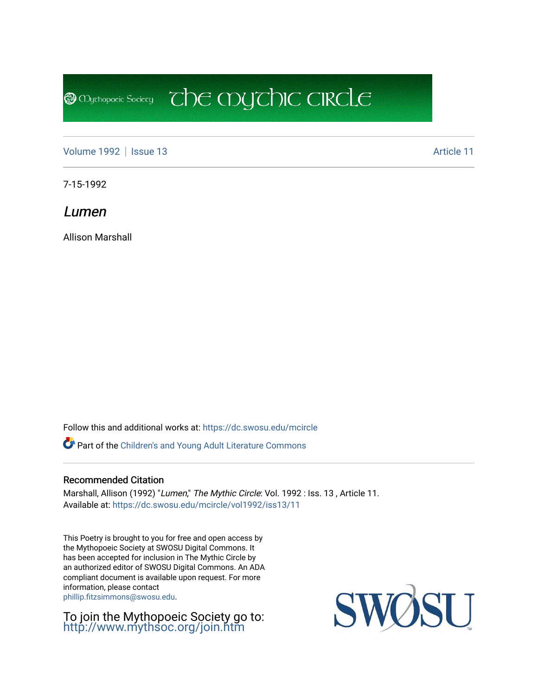**@** Mychopoeic Sociecy

[Volume 1992](https://dc.swosu.edu/mcircle/vol1992) | [Issue 13](https://dc.swosu.edu/mcircle/vol1992/iss13) Article 11

7-15-1992

Lumen

Allison Marshall

Follow this and additional works at: [https://dc.swosu.edu/mcircle](https://dc.swosu.edu/mcircle?utm_source=dc.swosu.edu%2Fmcircle%2Fvol1992%2Fiss13%2F11&utm_medium=PDF&utm_campaign=PDFCoverPages) 

Part of the [Children's and Young Adult Literature Commons](http://network.bepress.com/hgg/discipline/1289?utm_source=dc.swosu.edu%2Fmcircle%2Fvol1992%2Fiss13%2F11&utm_medium=PDF&utm_campaign=PDFCoverPages) 

#### Recommended Citation

Marshall, Allison (1992) "Lumen," The Mythic Circle: Vol. 1992 : Iss. 13, Article 11. Available at: [https://dc.swosu.edu/mcircle/vol1992/iss13/11](https://dc.swosu.edu/mcircle/vol1992/iss13/11?utm_source=dc.swosu.edu%2Fmcircle%2Fvol1992%2Fiss13%2F11&utm_medium=PDF&utm_campaign=PDFCoverPages) 

 $\overline{C}$  the mychic circle

This Poetry is brought to you for free and open access by the Mythopoeic Society at SWOSU Digital Commons. It has been accepted for inclusion in The Mythic Circle by an authorized editor of SWOSU Digital Commons. An ADA compliant document is available upon request. For more information, please contact [phillip.fitzsimmons@swosu.edu](mailto:phillip.fitzsimmons@swosu.edu).

To join the Mythopoeic Society go to: <http://www.mythsoc.org/join.htm>

SWOSU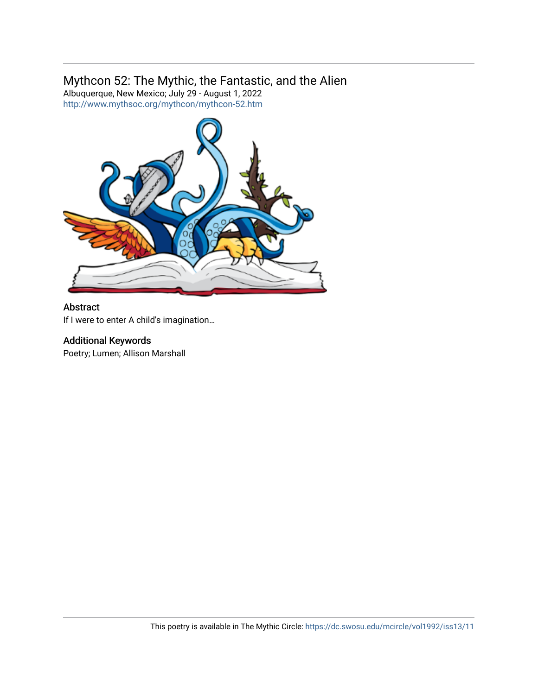### Mythcon 52: The Mythic, the Fantastic, and the Alien

Albuquerque, New Mexico; July 29 - August 1, 2022 <http://www.mythsoc.org/mythcon/mythcon-52.htm>



#### Abstract

If I were to enter A child's imagination…

#### Additional Keywords

Poetry; Lumen; Allison Marshall